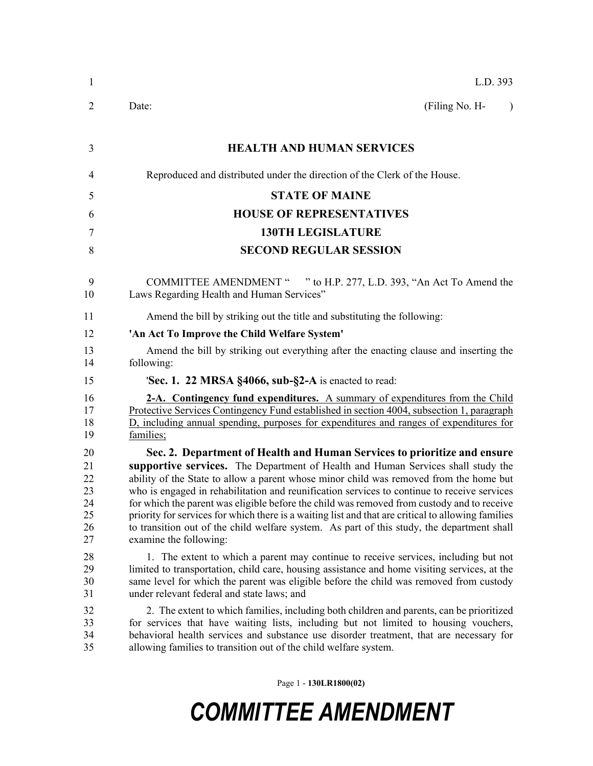| $\mathbf{1}$                                 | L.D. 393                                                                                                                                                                                                                                                                                                                                                                                                                                                                                                                                                                                                                                                                          |
|----------------------------------------------|-----------------------------------------------------------------------------------------------------------------------------------------------------------------------------------------------------------------------------------------------------------------------------------------------------------------------------------------------------------------------------------------------------------------------------------------------------------------------------------------------------------------------------------------------------------------------------------------------------------------------------------------------------------------------------------|
| 2                                            | Date:<br>(Filing No. H-<br>$\lambda$                                                                                                                                                                                                                                                                                                                                                                                                                                                                                                                                                                                                                                              |
| 3                                            | <b>HEALTH AND HUMAN SERVICES</b>                                                                                                                                                                                                                                                                                                                                                                                                                                                                                                                                                                                                                                                  |
| $\overline{4}$                               | Reproduced and distributed under the direction of the Clerk of the House.                                                                                                                                                                                                                                                                                                                                                                                                                                                                                                                                                                                                         |
| 5                                            | <b>STATE OF MAINE</b>                                                                                                                                                                                                                                                                                                                                                                                                                                                                                                                                                                                                                                                             |
| 6                                            | <b>HOUSE OF REPRESENTATIVES</b>                                                                                                                                                                                                                                                                                                                                                                                                                                                                                                                                                                                                                                                   |
| 7                                            | <b>130TH LEGISLATURE</b>                                                                                                                                                                                                                                                                                                                                                                                                                                                                                                                                                                                                                                                          |
| 8                                            | <b>SECOND REGULAR SESSION</b>                                                                                                                                                                                                                                                                                                                                                                                                                                                                                                                                                                                                                                                     |
| 9<br>10                                      | <b>COMMITTEE AMENDMENT "</b><br>" to H.P. 277, L.D. 393, "An Act To Amend the<br>Laws Regarding Health and Human Services"                                                                                                                                                                                                                                                                                                                                                                                                                                                                                                                                                        |
| 11                                           | Amend the bill by striking out the title and substituting the following:                                                                                                                                                                                                                                                                                                                                                                                                                                                                                                                                                                                                          |
| 12                                           | 'An Act To Improve the Child Welfare System'                                                                                                                                                                                                                                                                                                                                                                                                                                                                                                                                                                                                                                      |
| 13<br>14                                     | Amend the bill by striking out everything after the enacting clause and inserting the<br>following:                                                                                                                                                                                                                                                                                                                                                                                                                                                                                                                                                                               |
| 15                                           | <b>Sec. 1. 22 MRSA §4066, sub-§2-A</b> is enacted to read:                                                                                                                                                                                                                                                                                                                                                                                                                                                                                                                                                                                                                        |
| 16<br>17<br>18<br>19                         | 2-A. Contingency fund expenditures. A summary of expenditures from the Child<br>Protective Services Contingency Fund established in section 4004, subsection 1, paragraph<br>D, including annual spending, purposes for expenditures and ranges of expenditures for<br>families;                                                                                                                                                                                                                                                                                                                                                                                                  |
| 20<br>21<br>22<br>23<br>24<br>25<br>26<br>27 | Sec. 2. Department of Health and Human Services to prioritize and ensure<br>supportive services. The Department of Health and Human Services shall study the<br>ability of the State to allow a parent whose minor child was removed from the home but<br>who is engaged in rehabilitation and reunification services to continue to receive services<br>for which the parent was eligible before the child was removed from custody and to receive<br>priority for services for which there is a waiting list and that are critical to allowing families<br>to transition out of the child welfare system. As part of this study, the department shall<br>examine the following: |
| 28<br>29<br>30<br>31                         | 1. The extent to which a parent may continue to receive services, including but not<br>limited to transportation, child care, housing assistance and home visiting services, at the<br>same level for which the parent was eligible before the child was removed from custody<br>under relevant federal and state laws; and                                                                                                                                                                                                                                                                                                                                                       |
| 32<br>33<br>34<br>35                         | 2. The extent to which families, including both children and parents, can be prioritized<br>for services that have waiting lists, including but not limited to housing vouchers,<br>behavioral health services and substance use disorder treatment, that are necessary for<br>allowing families to transition out of the child welfare system.                                                                                                                                                                                                                                                                                                                                   |

Page 1 - **130LR1800(02)**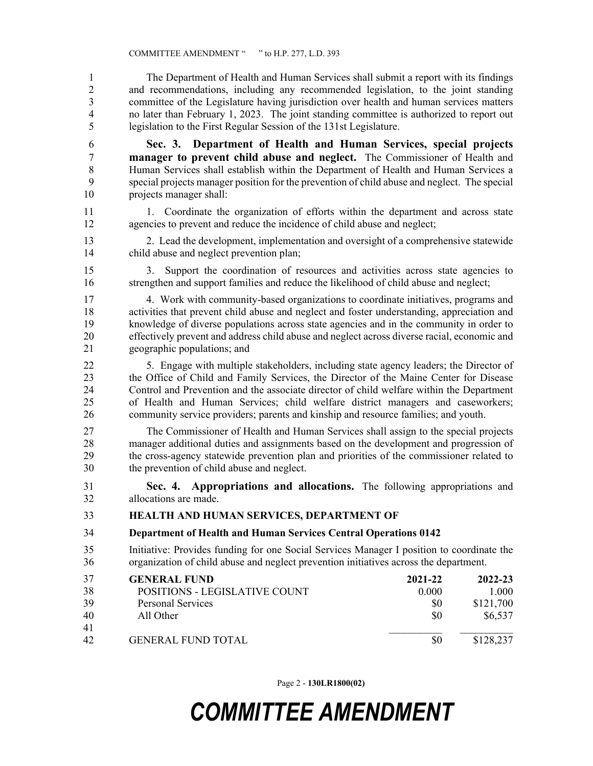1 The Department of Health and Human Services shall submit a report with its findings 2 and recommendations, including any recommended legislation, to the joint standing 3 committee of the Legislature having jurisdiction over health and human services matters 4 no later than February 1, 2023. The joint standing committee is authorized to report out 5 legislation to the First Regular Session of the 131st Legislature.

6 **Sec. 3. Department of Health and Human Services, special projects**  7 **manager to prevent child abuse and neglect.** The Commissioner of Health and 8 Human Services shall establish within the Department of Health and Human Services a 9 special projects manager position for the prevention of child abuse and neglect. The special 10 projects manager shall:

11 1.Coordinate the organization of efforts within the department and across state 12 agencies to prevent and reduce the incidence of child abuse and neglect;

13 2. Lead the development, implementation and oversight of a comprehensive statewide 14 child abuse and neglect prevention plan;

15 3. Support the coordination of resources and activities across state agencies to 16 strengthen and support families and reduce the likelihood of child abuse and neglect;

17 4. Work with community-based organizations to coordinate initiatives, programs and 18 activities that prevent child abuse and neglect and foster understanding, appreciation and 19 knowledge of diverse populations across state agencies and in the community in order to 20 effectively prevent and address child abuse and neglect across diverse racial, economic and 21 geographic populations; and

22 5. Engage with multiple stakeholders, including state agency leaders; the Director of 23 the Office of Child and Family Services, the Director of the Maine Center for Disease 24 Control and Prevention and the associate director of child welfare within the Department 25 of Health and Human Services; child welfare district managers and caseworkers; 26 community service providers; parents and kinship and resource families; and youth.

27 The Commissioner of Health and Human Services shall assign to the special projects 28 manager additional duties and assignments based on the development and progression of 29 the cross-agency statewide prevention plan and priorities of the commissioner related to 30 the prevention of child abuse and neglect.

31 **Sec. 4. Appropriations and allocations.** The following appropriations and 32 allocations are made.

## 33 **HEALTH AND HUMAN SERVICES, DEPARTMENT OF**

## 34 **Department of Health and Human Services Central Operations 0142**

35 Initiative: Provides funding for one Social Services Manager I position to coordinate the 36 organization of child abuse and neglect prevention initiatives across the department.

| 37 | <b>GENERAL FUND</b>           | 2021-22 | 2022-23   |
|----|-------------------------------|---------|-----------|
| 38 | POSITIONS - LEGISLATIVE COUNT | 0.000   | 1.000     |
| 39 | <b>Personal Services</b>      | \$0     | \$121,700 |
| 40 | All Other                     | \$0     | \$6,537   |
| 41 |                               |         |           |
| 42 | <b>GENERAL FUND TOTAL</b>     |         | \$128,237 |

Page 2 - **130LR1800(02)**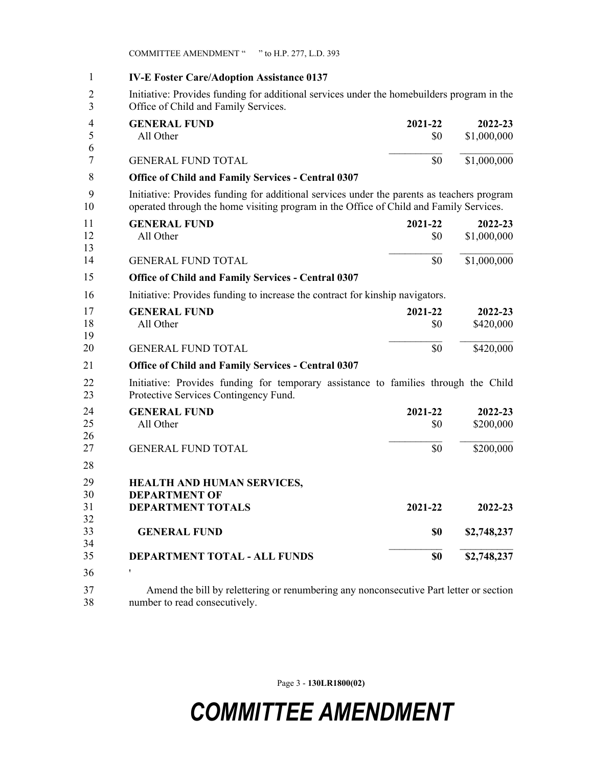COMMITTEE AMENDMENT " " to H.P. 277, L.D. 393

1 **IV-E Foster Care/Adoption Assistance 0137** 2 Initiative: Provides funding for additional services under the homebuilders program in the 3 Office of Child and Family Services. **GENERAL FUND 2021-22 2022-23** All Other \$0 \$1,000,000  $\_$ GENERAL FUND TOTAL 50 \$1,000,000 4 **Office of Child and Family Services - Central 0307** 9 Initiative: Provides funding for additional services under the parents as teachers program 10 operated through the home visiting program in the Office of Child and Family Services. **GENERAL FUND 2021-22 2022-23** All Other  $$0 \t$1,000,000$  $\mathcal{L}_\text{max}$ GENERAL FUND TOTAL  $$0$   $$1,000,000$ 11 **Office of Child and Family Services - Central 0307** 16 Initiative: Provides funding to increase the contract for kinship navigators. **GENERAL FUND 2021-22 2022-23** All Other \$0 \$420,000  $\mathcal{L}_\text{max}$ GENERAL FUND TOTAL 50 \$420,000 17 **Office of Child and Family Services - Central 0307** 22 Initiative: Provides funding for temporary assistance to families through the Child 23 Protective Services Contingency Fund. **GENERAL FUND 2021-22 2022-23** All Other \$0 \$200,000 GENERAL FUND TOTAL 50 \$200,000 24 28 **HEALTH AND HUMAN SERVICES, DEPARTMENT OF DEPARTMENT TOTALS 2021-22 2022-23 GENERAL FUND \$0 \$2,748,237**  $\mathcal{L}_\text{max}$ **DEPARTMENT TOTAL - ALL FUNDS \$0 \$2,748,237** 29 ' 3637 Amend the bill by relettering or renumbering any nonconsecutive Part letter or section 38 number to read consecutively. 1 4 5 6 7 8 11 12 13 14 15 17 18 19 20 21 24 25 26 27 29 30 31 32 33 34 35

Page 3 - **130LR1800(02)**